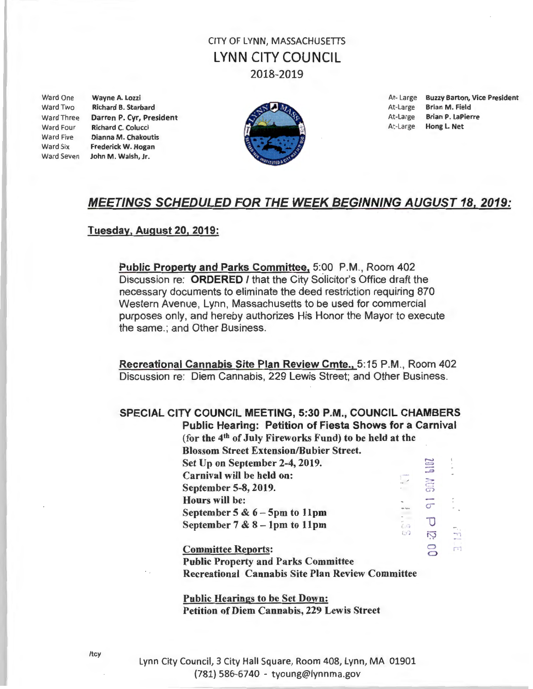### CITY OF LYNN, MASSACHUSETIS LYNN CITY COUNCIL 2018-2019

Ward Two Richard B. Starbard **At-Large Brian M. Field** At-Large Brian M. Field Ward Four Richard C. Colucci **At-Large Hong L. Net** Richard C. Colucci **At At-Large Hong L. Net** Ward Five Dianna M. Chakoutis Ward Six Frederick W. Hogan Ward Seven John M. Walsh, Jr.



Ward One Wayne A. Lozzi **At-Large Buzzy Barton, Vice President** Ward Three Darren P. Cyr, President At-Large Brian P. LaPierre

 $-r$ 

ÈП

 $\overline{O}$ 

### MEETINGS SCHEDULED FOR THE WEEK BEGINNING AUGUST 18, 2019:

#### Tuesday, August 20, 2019:

Public Property and Parks Committee, 5:00 P.M., Room 402 Discussion re: ORDERED I that the City Solicitor's Office draft the necessary documents to eliminate the deed restriction requiring 870 Western Avenue, Lynn, Massachusetts to be used for commercial purposes only, and hereby authorizes His Honor the Mayor to execute the same.; and Other Business.

Recreational Cannabis Site Plan Review Cmte., 5:15 P.M., Room 402 Discussion re: Diem Cannabis, 229 Lewis Street; and Other Business.

#### SPECIAL CITY COUNCIL MEETING, 5:30 P.M., COUNCIL CHAMBERS Public Hearing: Petition of Fiesta Shows for a Carnival

(for the  $4<sup>th</sup>$  of July Fireworks Fund) to be held at the Blossom Street Extension/Bubier Street.  $501$ Set Up on September 2-4, 2019. Carnival will be held on: **SEP** September 5-8, 2019.  $\overline{q}$ Hours will be: September 5  $\& 6 - 5$ pm to 11pm  $\Box$ - ( I September  $7 & 8 - 1$ pm to 11pm  $\overline{C}$ 

Committee Reports: Public Property and Parks Committee Recreational Cannabis Site Plan Review Committee

Public Hearings to be Set Down: Petition of Diem Cannabis, 229 Lewis Street

Lynn City Council, 3 City Hall Square, Room 408, Lynn, MA 01901 (781} 586-6740 - tyoung@lynnma.gov

/tcy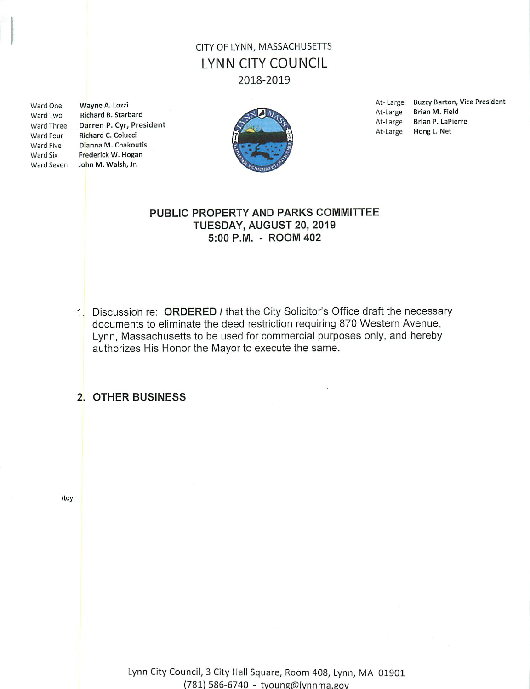# CITY OF LYNN, MASSACHUSETTS **LYNN CITY COUNCIL** 2018-2019

Ward One Ward Two Ward Four Ward Five Ward Six

Wayne A. Lozzi Richard B. Starbard Ward Three Darren P. Cyr, President Richard C. Colucci Dianna M. Chakoutis Frederick W. Hogan Ward Seven John M. Walsh, Jr.



At-Large Buzzy Barton, Vice President Brian M. Field At-Large Brian P. LaPierre At-Large Hong L. Net At-Large

### PUBLIC PROPERTY AND PARKS COMMITTEE TUESDAY, AUGUST 20, 2019 5:00 P.M. - ROOM 402

1. Discussion re: ORDERED / that the City Solicitor's Office draft the necessary documents to eliminate the deed restriction requiring 870 Western Avenue, Lynn, Massachusetts to be used for commercial purposes only, and hereby authorizes His Honor the Mayor to execute the same.

#### 2. OTHER BUSINESS

/tcy

Lynn City Council, 3 City Hall Square, Room 408, Lynn, MA 01901 (781) 586-6740 - tyoung@lynnma.gov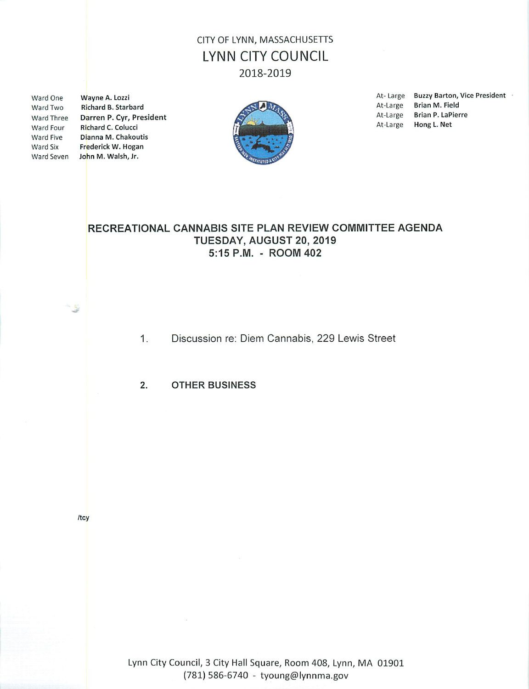# CITY OF LYNN, MASSACHUSETTS **LYNN CITY COUNCIL** 2018-2019

Ward One Ward Two Ward Four **Ward Five** Ward Six

Wayne A. Lozzi Richard B. Starbard Ward Three Darren P. Cyr, President Richard C. Colucci Dianna M. Chakoutis Frederick W. Hogan Ward Seven John M. Walsh, Jr.



**Buzzy Barton, Vice President** At-Large Brian M. Field At-Large At-Large **Brian P. LaPierre** At-Large Hong L. Net

### RECREATIONAL CANNABIS SITE PLAN REVIEW COMMITTEE AGENDA TUESDAY, AUGUST 20, 2019 5:15 P.M. - ROOM 402

- Discussion re: Diem Cannabis, 229 Lewis Street  $1.$
- 2. **OTHER BUSINESS**

/tcy

Lynn City Council, 3 City Hall Square, Room 408, Lynn, MA 01901 (781) 586-6740 - tyoung@lynnma.gov